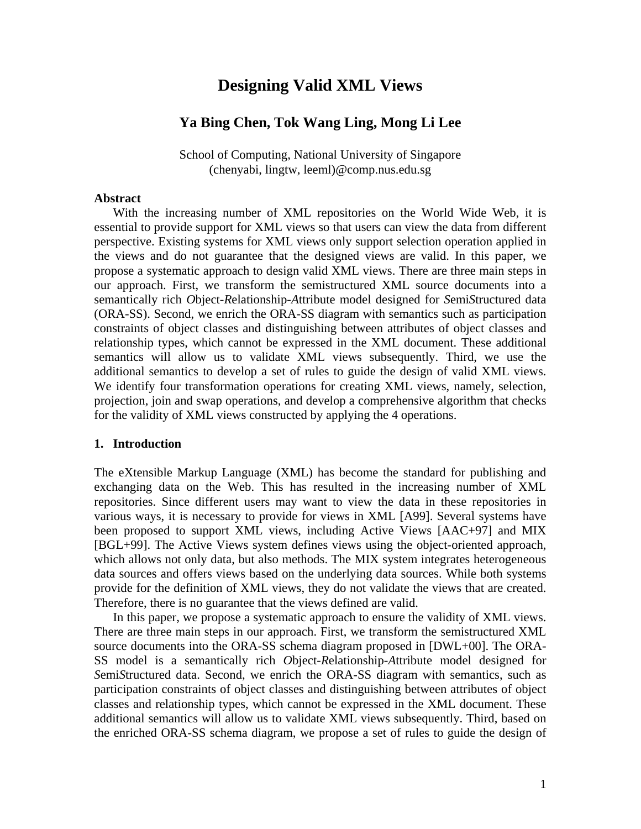# **Designing Valid XML Views**

# **Ya Bing Chen, Tok Wang Ling, Mong Li Lee**

School of Computing, National University of Singapore (chenyabi, lingtw, leeml)@comp.nus.edu.sg

#### **Abstract**

With the increasing number of XML repositories on the World Wide Web, it is essential to provide support for XML views so that users can view the data from different perspective. Existing systems for XML views only support selection operation applied in the views and do not guarantee that the designed views are valid. In this paper, we propose a systematic approach to design valid XML views. There are three main steps in our approach. First, we transform the semistructured XML source documents into a semantically rich *O*bject-*R*elationship-*A*ttribute model designed for *S*emi*S*tructured data (ORA-SS). Second, we enrich the ORA-SS diagram with semantics such as participation constraints of object classes and distinguishing between attributes of object classes and relationship types, which cannot be expressed in the XML document. These additional semantics will allow us to validate XML views subsequently. Third, we use the additional semantics to develop a set of rules to guide the design of valid XML views. We identify four transformation operations for creating XML views, namely, selection, projection, join and swap operations, and develop a comprehensive algorithm that checks for the validity of XML views constructed by applying the 4 operations.

#### **1. Introduction**

The eXtensible Markup Language (XML) has become the standard for publishing and exchanging data on the Web. This has resulted in the increasing number of XML repositories. Since different users may want to view the data in these repositories in various ways, it is necessary to provide for views in XML [A99]. Several systems have been proposed to support XML views, including Active Views [AAC+97] and MIX [BGL+99]. The Active Views system defines views using the object-oriented approach, which allows not only data, but also methods. The MIX system integrates heterogeneous data sources and offers views based on the underlying data sources. While both systems provide for the definition of XML views, they do not validate the views that are created. Therefore, there is no guarantee that the views defined are valid.

In this paper, we propose a systematic approach to ensure the validity of XML views. There are three main steps in our approach. First, we transform the semistructured XML source documents into the ORA-SS schema diagram proposed in [DWL+00]. The ORA-SS model is a semantically rich *O*bject-*R*elationship-*A*ttribute model designed for *S*emi*S*tructured data. Second, we enrich the ORA-SS diagram with semantics, such as participation constraints of object classes and distinguishing between attributes of object classes and relationship types, which cannot be expressed in the XML document. These additional semantics will allow us to validate XML views subsequently. Third, based on the enriched ORA-SS schema diagram, we propose a set of rules to guide the design of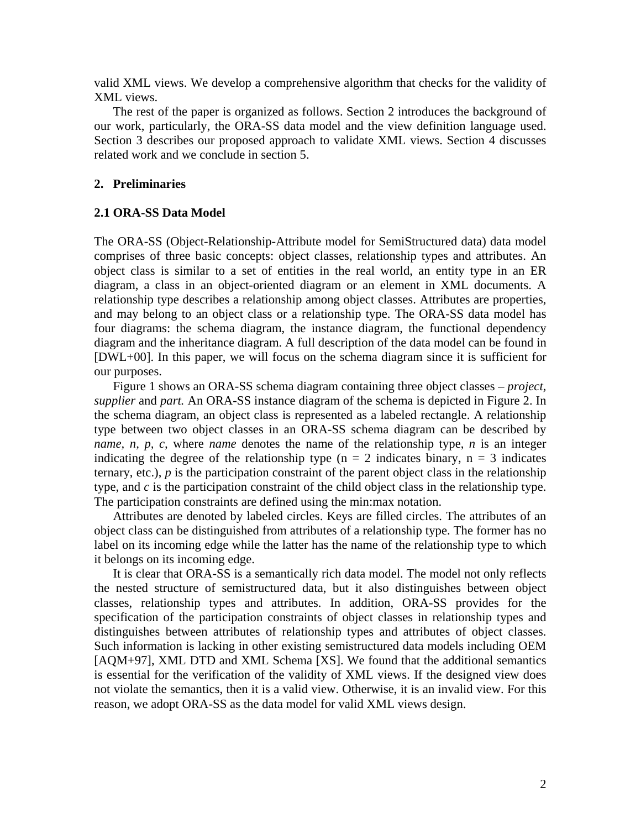valid XML views. We develop a comprehensive algorithm that checks for the validity of XML views.

The rest of the paper is organized as follows. Section 2 introduces the background of our work, particularly, the ORA-SS data model and the view definition language used. Section 3 describes our proposed approach to validate XML views. Section 4 discusses related work and we conclude in section 5.

#### **2. Preliminaries**

#### **2.1 ORA-SS Data Model**

The ORA-SS (Object-Relationship-Attribute model for SemiStructured data) data model comprises of three basic concepts: object classes, relationship types and attributes. An object class is similar to a set of entities in the real world, an entity type in an ER diagram, a class in an object-oriented diagram or an element in XML documents. A relationship type describes a relationship among object classes. Attributes are properties, and may belong to an object class or a relationship type. The ORA-SS data model has four diagrams: the schema diagram, the instance diagram, the functional dependency diagram and the inheritance diagram. A full description of the data model can be found in [DWL+00]. In this paper, we will focus on the schema diagram since it is sufficient for our purposes.

Figure 1 shows an ORA-SS schema diagram containing three object classes – *project, supplier* and *part.* An ORA-SS instance diagram of the schema is depicted in Figure 2. In the schema diagram, an object class is represented as a labeled rectangle. A relationship type between two object classes in an ORA-SS schema diagram can be described by *name, n, p, c,* where *name* denotes the name of the relationship type, *n* is an integer indicating the degree of the relationship type ( $n = 2$  indicates binary,  $n = 3$  indicates ternary, etc.),  $p$  is the participation constraint of the parent object class in the relationship type, and *c* is the participation constraint of the child object class in the relationship type. The participation constraints are defined using the min:max notation.

Attributes are denoted by labeled circles. Keys are filled circles. The attributes of an object class can be distinguished from attributes of a relationship type. The former has no label on its incoming edge while the latter has the name of the relationship type to which it belongs on its incoming edge.

It is clear that ORA-SS is a semantically rich data model. The model not only reflects the nested structure of semistructured data, but it also distinguishes between object classes, relationship types and attributes. In addition, ORA-SS provides for the specification of the participation constraints of object classes in relationship types and distinguishes between attributes of relationship types and attributes of object classes. Such information is lacking in other existing semistructured data models including OEM [AQM+97], XML DTD and XML Schema [XS]. We found that the additional semantics is essential for the verification of the validity of XML views. If the designed view does not violate the semantics, then it is a valid view. Otherwise, it is an invalid view. For this reason, we adopt ORA-SS as the data model for valid XML views design.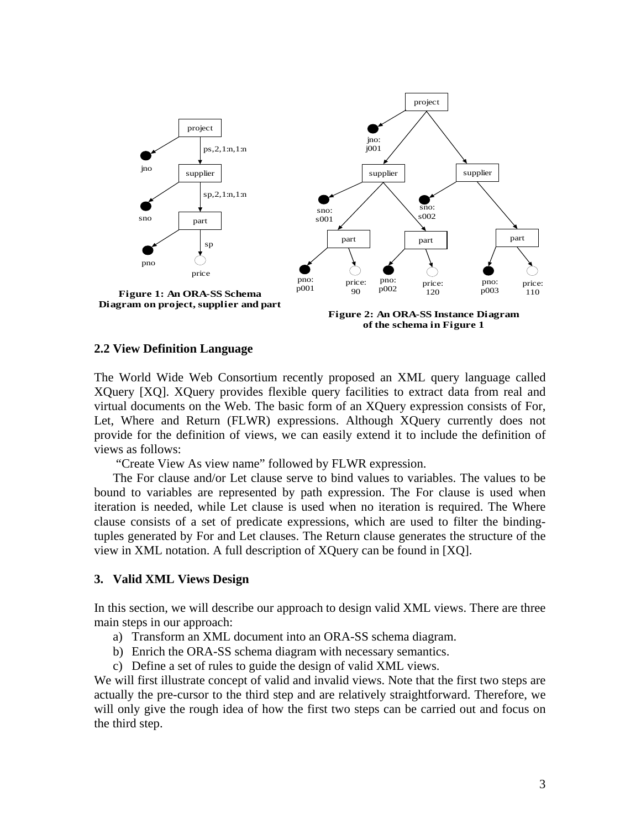

**of the schema in Figure 1**

#### **2.2 View Definition Language**

The World Wide Web Consortium recently proposed an XML query language called XQuery [XQ]. XQuery provides flexible query facilities to extract data from real and virtual documents on the Web. The basic form of an XQuery expression consists of For, Let, Where and Return (FLWR) expressions. Although XQuery currently does not provide for the definition of views, we can easily extend it to include the definition of views as follows:

"Create View As view name" followed by FLWR expression.

The For clause and/or Let clause serve to bind values to variables. The values to be bound to variables are represented by path expression. The For clause is used when iteration is needed, while Let clause is used when no iteration is required. The Where clause consists of a set of predicate expressions, which are used to filter the bindingtuples generated by For and Let clauses. The Return clause generates the structure of the view in XML notation. A full description of XQuery can be found in [XQ].

### **3. Valid XML Views Design**

In this section, we will describe our approach to design valid XML views. There are three main steps in our approach:

- a) Transform an XML document into an ORA-SS schema diagram.
- b) Enrich the ORA-SS schema diagram with necessary semantics.
- c) Define a set of rules to guide the design of valid XML views.

We will first illustrate concept of valid and invalid views. Note that the first two steps are actually the pre-cursor to the third step and are relatively straightforward. Therefore, we will only give the rough idea of how the first two steps can be carried out and focus on the third step.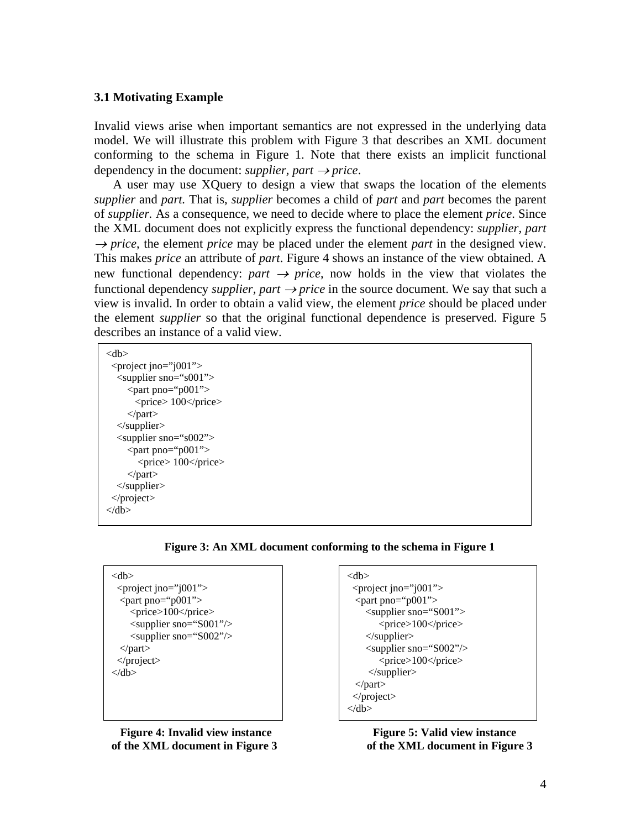### **3.1 Motivating Example**

Invalid views arise when important semantics are not expressed in the underlying data model. We will illustrate this problem with Figure 3 that describes an XML document conforming to the schema in Figure 1. Note that there exists an implicit functional dependency in the document: *supplier*, *part*  $\rightarrow$ *price*.

A user may use XQuery to design a view that swaps the location of the elements *supplier* and *part.* That is, *supplier* becomes a child of *part* and *part* becomes the parent of *supplier.* As a consequence, we need to decide where to place the element *price*. Since the XML document does not explicitly express the functional dependency: *supplier, part*   $\rightarrow$ *price*, the element *price* may be placed under the element *part* in the designed view. This makes *price* an attribute of *part*. Figure 4 shows an instance of the view obtained. A new functional dependency:  $part \rightarrow price$ , now holds in the view that violates the functional dependency *supplier, part*  $\rightarrow$  *price* in the source document. We say that such a view is invalid. In order to obtain a valid view, the element *price* should be placed under the element *supplier* so that the original functional dependence is preserved. Figure 5 describes an instance of a valid view.

| <db></db>                           |
|-------------------------------------|
| <project jno="j001"></project>      |
| $\leq$ supplier sno="s001">         |
| $\epsilon$ <part pno="p001"></part> |
| $<$ price $>$ 100 $<$ /price $>$    |
| $\langle$ part $\rangle$            |
| $\langle$ supplier $\rangle$        |
| $\langle$ supplier sno="s002">      |
| $\epsilon$ <part pno="p001"></part> |
| $<$ price $> 100$ $<$ /price $>$    |
| $\langle$ part $\rangle$            |
| $\langle$ supplier $\rangle$        |
|                                     |
| ∠/dh>                               |
|                                     |

**Figure 3: An XML document conforming to the schema in Figure 1** 

| $<$ db>                                   |
|-------------------------------------------|
| $\epsilon$ <project jno="j001"></project> |
| <part pno="p001"></part>                  |
| <price>100</price>                        |
| <supplier sno="S001"></supplier>          |
| <supplier sno="S002"></supplier>          |
| $<$ part>                                 |
| $<$ /project>                             |
| $\langle$ db>                             |
|                                           |
|                                           |

**Figure 4: Invalid view instance Figure 5: Valid view instance of the XML document in Figure 3 of the XML document in Figure 3** 

```
<db> 
 <project jno="j001">
 \epsilon <part pno="p001">
     <supplier sno="S001"> 
         <price>100</price> 
     </supplier> 
    \langlesupplier sno="S002"/> <price>100</price> 
      </supplier> 
  </part> 
  </project> 
\langledb>
```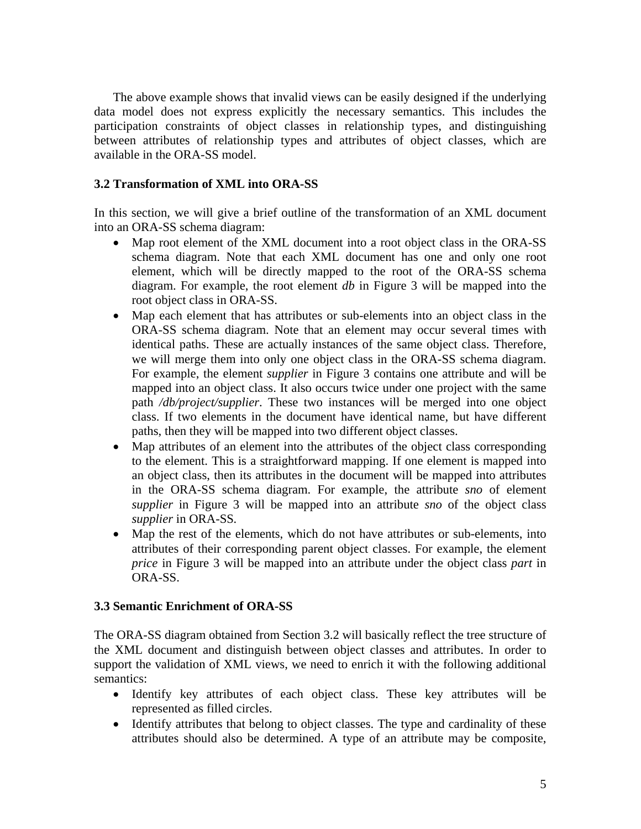The above example shows that invalid views can be easily designed if the underlying data model does not express explicitly the necessary semantics. This includes the participation constraints of object classes in relationship types, and distinguishing between attributes of relationship types and attributes of object classes, which are available in the ORA-SS model.

# **3.2 Transformation of XML into ORA-SS**

In this section, we will give a brief outline of the transformation of an XML document into an ORA-SS schema diagram:

- Map root element of the XML document into a root object class in the ORA-SS schema diagram. Note that each XML document has one and only one root element, which will be directly mapped to the root of the ORA-SS schema diagram. For example, the root element *db* in Figure 3 will be mapped into the root object class in ORA-SS.
- Map each element that has attributes or sub-elements into an object class in the ORA-SS schema diagram. Note that an element may occur several times with identical paths. These are actually instances of the same object class. Therefore, we will merge them into only one object class in the ORA-SS schema diagram. For example, the element *supplier* in Figure 3 contains one attribute and will be mapped into an object class. It also occurs twice under one project with the same path */db/project/supplier*. These two instances will be merged into one object class. If two elements in the document have identical name, but have different paths, then they will be mapped into two different object classes.
- Map attributes of an element into the attributes of the object class corresponding to the element. This is a straightforward mapping. If one element is mapped into an object class, then its attributes in the document will be mapped into attributes in the ORA-SS schema diagram. For example, the attribute *sno* of element *supplier* in Figure 3 will be mapped into an attribute *sno* of the object class *supplier* in ORA-SS*.*
- Map the rest of the elements, which do not have attributes or sub-elements, into attributes of their corresponding parent object classes. For example, the element *price* in Figure 3 will be mapped into an attribute under the object class *part* in ORA-SS.

### **3.3 Semantic Enrichment of ORA-SS**

The ORA-SS diagram obtained from Section 3.2 will basically reflect the tree structure of the XML document and distinguish between object classes and attributes. In order to support the validation of XML views, we need to enrich it with the following additional semantics:

- Identify key attributes of each object class. These key attributes will be represented as filled circles.
- Identify attributes that belong to object classes. The type and cardinality of these attributes should also be determined. A type of an attribute may be composite,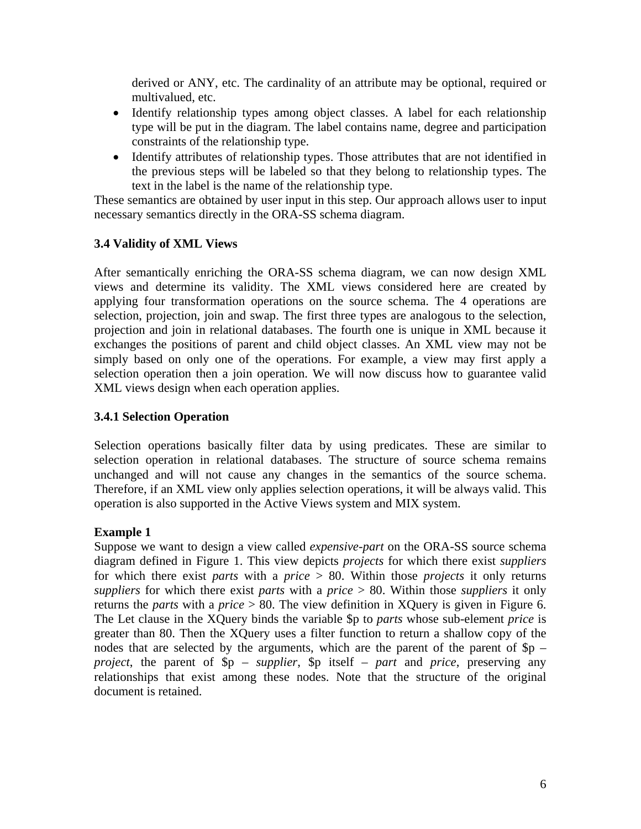derived or ANY, etc. The cardinality of an attribute may be optional, required or multivalued, etc.

- Identify relationship types among object classes. A label for each relationship type will be put in the diagram. The label contains name, degree and participation constraints of the relationship type.
- Identify attributes of relationship types. Those attributes that are not identified in the previous steps will be labeled so that they belong to relationship types. The text in the label is the name of the relationship type.

These semantics are obtained by user input in this step. Our approach allows user to input necessary semantics directly in the ORA-SS schema diagram.

# **3.4 Validity of XML Views**

After semantically enriching the ORA-SS schema diagram, we can now design XML views and determine its validity. The XML views considered here are created by applying four transformation operations on the source schema. The 4 operations are selection, projection, join and swap. The first three types are analogous to the selection, projection and join in relational databases. The fourth one is unique in XML because it exchanges the positions of parent and child object classes. An XML view may not be simply based on only one of the operations. For example, a view may first apply a selection operation then a join operation. We will now discuss how to guarantee valid XML views design when each operation applies.

### **3.4.1 Selection Operation**

Selection operations basically filter data by using predicates. These are similar to selection operation in relational databases. The structure of source schema remains unchanged and will not cause any changes in the semantics of the source schema. Therefore, if an XML view only applies selection operations, it will be always valid. This operation is also supported in the Active Views system and MIX system.

### **Example 1**

Suppose we want to design a view called *expensive-part* on the ORA-SS source schema diagram defined in Figure 1. This view depicts *projects* for which there exist *suppliers* for which there exist *parts* with a *price* > 80. Within those *projects* it only returns *suppliers* for which there exist *parts* with a *price* > 80. Within those *suppliers* it only returns the *parts* with a *price* > 80. The view definition in XQuery is given in Figure 6. The Let clause in the XQuery binds the variable \$p to *parts* whose sub-element *price* is greater than 80. Then the XQuery uses a filter function to return a shallow copy of the nodes that are selected by the arguments, which are the parent of the parent of  $Sp$ *project*, the parent of \$p – *supplier*, \$p itself – *part* and *price*, preserving any relationships that exist among these nodes. Note that the structure of the original document is retained.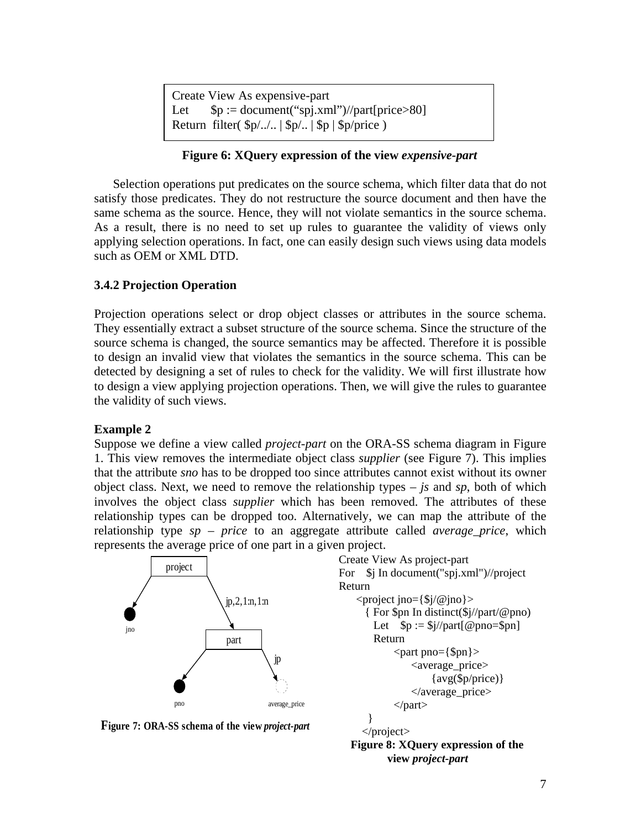```
Create View As expensive-part 
Let $p := document("spj.xml") // part[price>80]Return filter(\phi/\sqrt{2}... | \phi/\sqrt{2}... | \phi | \phi/\sqrt{2}...
```
### **Figure 6: XQuery expression of the view** *expensive-part*

Selection operations put predicates on the source schema, which filter data that do not satisfy those predicates. They do not restructure the source document and then have the same schema as the source. Hence, they will not violate semantics in the source schema. As a result, there is no need to set up rules to guarantee the validity of views only applying selection operations. In fact, one can easily design such views using data models such as OEM or XML DTD.

# **3.4.2 Projection Operation**

Projection operations select or drop object classes or attributes in the source schema. They essentially extract a subset structure of the source schema. Since the structure of the source schema is changed, the source semantics may be affected. Therefore it is possible to design an invalid view that violates the semantics in the source schema. This can be detected by designing a set of rules to check for the validity. We will first illustrate how to design a view applying projection operations. Then, we will give the rules to guarantee the validity of such views.

### **Example 2**

Suppose we define a view called *project-part* on the ORA-SS schema diagram in Figure 1. This view removes the intermediate object class *supplier* (see Figure 7). This implies that the attribute *sno* has to be dropped too since attributes cannot exist without its owner object class. Next, we need to remove the relationship types – *js* and *sp*, both of which involves the object class *supplier* which has been removed. The attributes of these relationship types can be dropped too. Alternatively, we can map the attribute of the relationship type *sp* – *price* to an aggregate attribute called *average\_price*, which represents the average price of one part in a given project.



**Figure 8: XQuery expression of the view** *project-part*

#### **Figure 7: ORA-SS schema of the view** *project-part*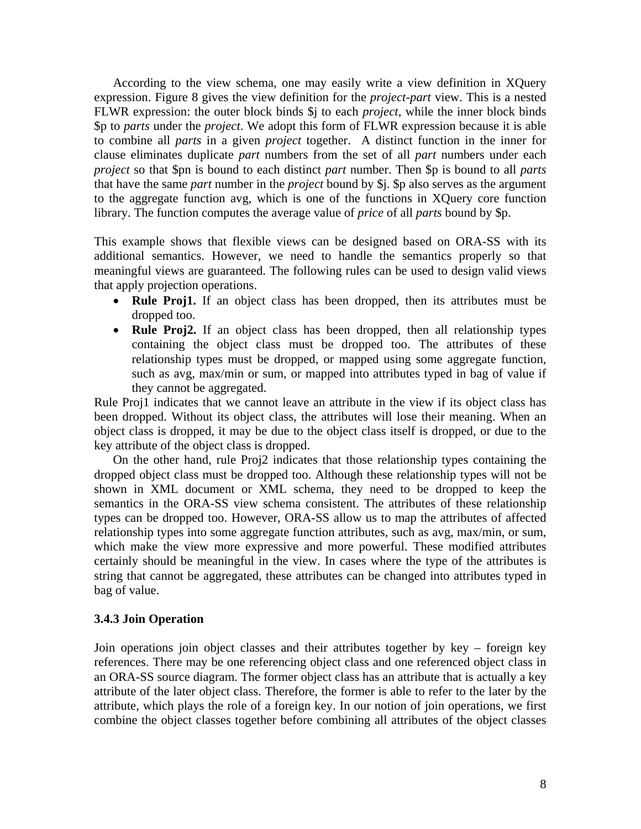According to the view schema, one may easily write a view definition in XQuery expression. Figure 8 gives the view definition for the *project-part* view. This is a nested FLWR expression: the outer block binds \$j to each *project*, while the inner block binds \$p to *parts* under the *project*. We adopt this form of FLWR expression because it is able to combine all *parts* in a given *project* together. A distinct function in the inner for clause eliminates duplicate *part* numbers from the set of all *part* numbers under each *project* so that \$pn is bound to each distinct *part* number. Then \$p is bound to all *parts* that have the same *part* number in the *project* bound by \$j. \$p also serves as the argument to the aggregate function avg, which is one of the functions in XQuery core function library. The function computes the average value of *price* of all *parts* bound by \$p.

This example shows that flexible views can be designed based on ORA-SS with its additional semantics. However, we need to handle the semantics properly so that meaningful views are guaranteed. The following rules can be used to design valid views that apply projection operations.

- **Rule Proj1.** If an object class has been dropped, then its attributes must be dropped too.
- **Rule Proj2.** If an object class has been dropped, then all relationship types containing the object class must be dropped too. The attributes of these relationship types must be dropped, or mapped using some aggregate function, such as avg, max/min or sum, or mapped into attributes typed in bag of value if they cannot be aggregated.

Rule Proj1 indicates that we cannot leave an attribute in the view if its object class has been dropped. Without its object class, the attributes will lose their meaning. When an object class is dropped, it may be due to the object class itself is dropped, or due to the key attribute of the object class is dropped.

On the other hand, rule Proj2 indicates that those relationship types containing the dropped object class must be dropped too. Although these relationship types will not be shown in XML document or XML schema, they need to be dropped to keep the semantics in the ORA-SS view schema consistent. The attributes of these relationship types can be dropped too. However, ORA-SS allow us to map the attributes of affected relationship types into some aggregate function attributes, such as avg, max/min, or sum, which make the view more expressive and more powerful. These modified attributes certainly should be meaningful in the view. In cases where the type of the attributes is string that cannot be aggregated, these attributes can be changed into attributes typed in bag of value.

### **3.4.3 Join Operation**

Join operations join object classes and their attributes together by key – foreign key references. There may be one referencing object class and one referenced object class in an ORA-SS source diagram. The former object class has an attribute that is actually a key attribute of the later object class. Therefore, the former is able to refer to the later by the attribute, which plays the role of a foreign key. In our notion of join operations, we first combine the object classes together before combining all attributes of the object classes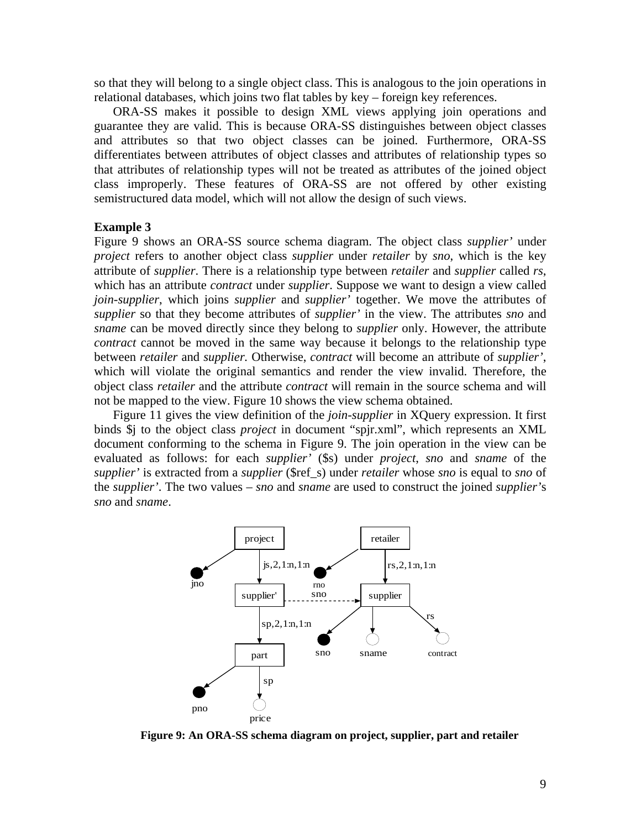so that they will belong to a single object class. This is analogous to the join operations in relational databases, which joins two flat tables by key – foreign key references.

ORA-SS makes it possible to design XML views applying join operations and guarantee they are valid. This is because ORA-SS distinguishes between object classes and attributes so that two object classes can be joined. Furthermore, ORA-SS differentiates between attributes of object classes and attributes of relationship types so that attributes of relationship types will not be treated as attributes of the joined object class improperly. These features of ORA-SS are not offered by other existing semistructured data model, which will not allow the design of such views.

#### **Example 3**

Figure 9 shows an ORA-SS source schema diagram. The object class *supplier'* under *project* refers to another object class *supplier* under *retailer* by *sno*, which is the key attribute of *supplier*. There is a relationship type between *retailer* and *supplier* called *rs*, which has an attribute *contract* under *supplier*. Suppose we want to design a view called *join-supplier*, which joins *supplier* and *supplier'* together. We move the attributes of *supplier* so that they become attributes of *supplier'* in the view. The attributes *sno* and *sname* can be moved directly since they belong to *supplier* only. However, the attribute *contract* cannot be moved in the same way because it belongs to the relationship type between *retailer* and *supplier.* Otherwise, *contract* will become an attribute of *supplier'*, which will violate the original semantics and render the view invalid. Therefore, the object class *retailer* and the attribute *contract* will remain in the source schema and will not be mapped to the view. Figure 10 shows the view schema obtained.

Figure 11 gives the view definition of the *join-supplier* in XQuery expression. It first binds \$j to the object class *project* in document "spjr.xml", which represents an XML document conforming to the schema in Figure 9. The join operation in the view can be evaluated as follows: for each *supplier'* (\$s) under *project*, *sno* and *sname* of the *supplier'* is extracted from a *supplier* (\$ref\_s) under *retailer* whose *sno* is equal to *sno* of the *supplier'*. The two values – *sno* and *sname* are used to construct the joined *supplier'*s *sno* and *sname*.



**Figure 9: An ORA-SS schema diagram on project, supplier, part and retailer**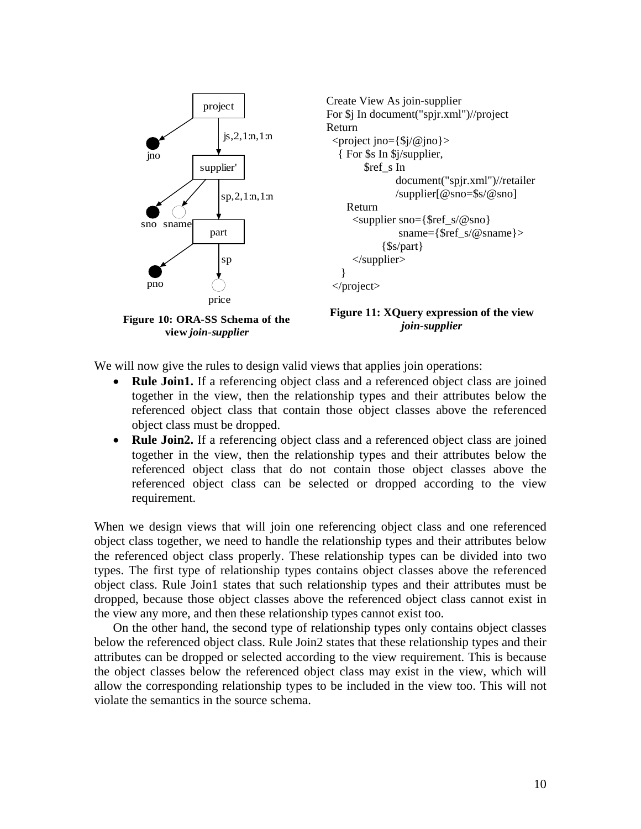

We will now give the rules to design valid views that applies join operations:

- **Rule Join1.** If a referencing object class and a referenced object class are joined together in the view, then the relationship types and their attributes below the referenced object class that contain those object classes above the referenced object class must be dropped.
- **Rule Join2.** If a referencing object class and a referenced object class are joined together in the view, then the relationship types and their attributes below the referenced object class that do not contain those object classes above the referenced object class can be selected or dropped according to the view requirement.

When we design views that will join one referencing object class and one referenced object class together, we need to handle the relationship types and their attributes below the referenced object class properly. These relationship types can be divided into two types. The first type of relationship types contains object classes above the referenced object class. Rule Join1 states that such relationship types and their attributes must be dropped, because those object classes above the referenced object class cannot exist in the view any more, and then these relationship types cannot exist too.

On the other hand, the second type of relationship types only contains object classes below the referenced object class. Rule Join2 states that these relationship types and their attributes can be dropped or selected according to the view requirement. This is because the object classes below the referenced object class may exist in the view, which will allow the corresponding relationship types to be included in the view too. This will not violate the semantics in the source schema.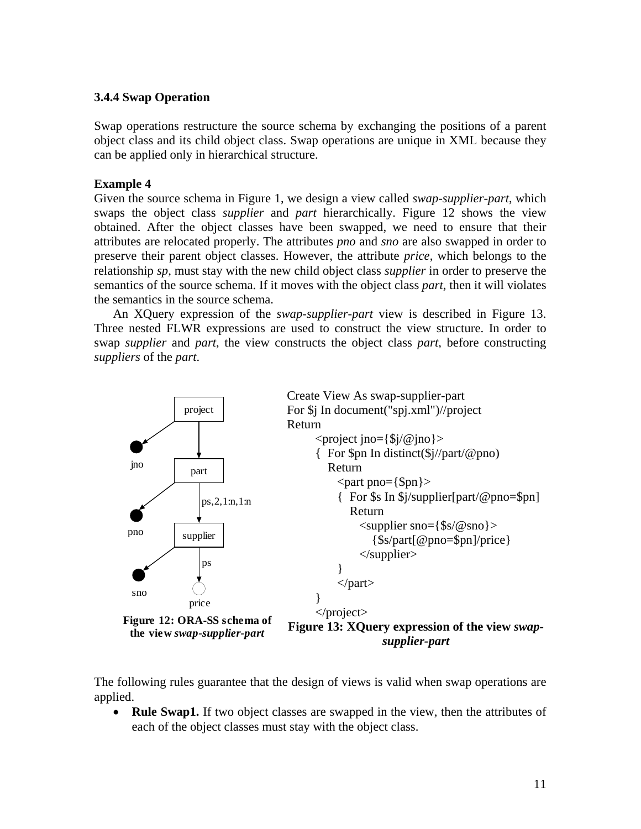# **3.4.4 Swap Operation**

Swap operations restructure the source schema by exchanging the positions of a parent object class and its child object class. Swap operations are unique in XML because they can be applied only in hierarchical structure.

# **Example 4**

Given the source schema in Figure 1, we design a view called *swap-supplier-part*, which swaps the object class *supplier* and *part* hierarchically. Figure 12 shows the view obtained. After the object classes have been swapped, we need to ensure that their attributes are relocated properly. The attributes *pno* and *sno* are also swapped in order to preserve their parent object classes. However, the attribute *price*, which belongs to the relationship *sp*, must stay with the new child object class *supplier* in order to preserve the semantics of the source schema. If it moves with the object class *part*, then it will violates the semantics in the source schema.

An XQuery expression of the *swap-supplier-part* view is described in Figure 13. Three nested FLWR expressions are used to construct the view structure. In order to swap *supplier* and *part*, the view constructs the object class *part*, before constructing *suppliers* of the *part*.



The following rules guarantee that the design of views is valid when swap operations are applied.

• **Rule Swap1.** If two object classes are swapped in the view, then the attributes of each of the object classes must stay with the object class.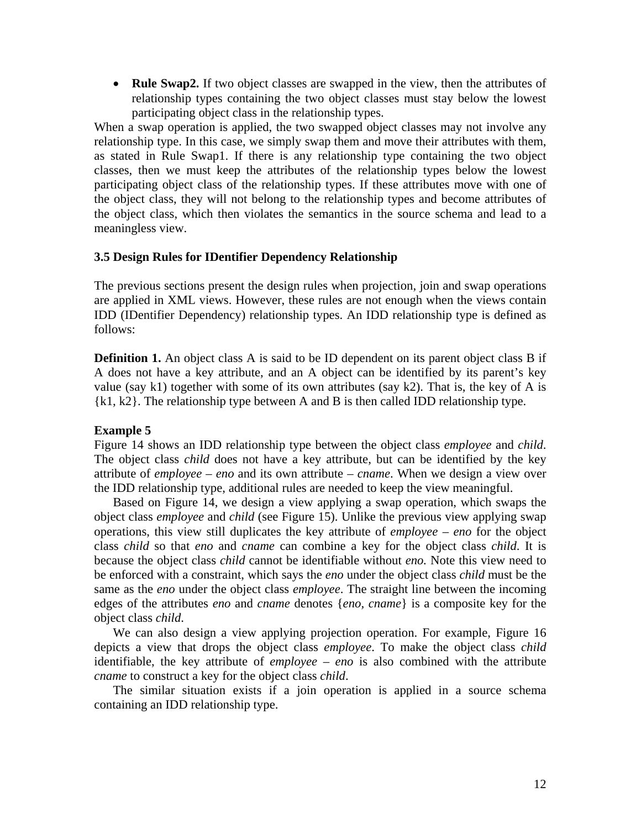• **Rule Swap2.** If two object classes are swapped in the view, then the attributes of relationship types containing the two object classes must stay below the lowest participating object class in the relationship types.

When a swap operation is applied, the two swapped object classes may not involve any relationship type. In this case, we simply swap them and move their attributes with them, as stated in Rule Swap1. If there is any relationship type containing the two object classes, then we must keep the attributes of the relationship types below the lowest participating object class of the relationship types. If these attributes move with one of the object class, they will not belong to the relationship types and become attributes of the object class, which then violates the semantics in the source schema and lead to a meaningless view.

#### **3.5 Design Rules for IDentifier Dependency Relationship**

The previous sections present the design rules when projection, join and swap operations are applied in XML views. However, these rules are not enough when the views contain IDD (IDentifier Dependency) relationship types. An IDD relationship type is defined as follows:

**Definition 1.** An object class A is said to be ID dependent on its parent object class B if A does not have a key attribute, and an A object can be identified by its parent's key value (say k1) together with some of its own attributes (say k2). That is, the key of A is {k1, k2}. The relationship type between A and B is then called IDD relationship type.

### **Example 5**

Figure 14 shows an IDD relationship type between the object class *employee* and *child*. The object class *child* does not have a key attribute, but can be identified by the key attribute of *employee* – *eno* and its own attribute – *cname*. When we design a view over the IDD relationship type, additional rules are needed to keep the view meaningful.

Based on Figure 14, we design a view applying a swap operation, which swaps the object class *employee* and *child* (see Figure 15). Unlike the previous view applying swap operations, this view still duplicates the key attribute of *employee* – *eno* for the object class *child* so that *eno* and *cname* can combine a key for the object class *child*. It is because the object class *child* cannot be identifiable without *eno.* Note this view need to be enforced with a constraint, which says the *eno* under the object class *child* must be the same as the *eno* under the object class *employee*. The straight line between the incoming edges of the attributes *eno* and *cname* denotes {*eno, cname*} is a composite key for the object class *child*.

We can also design a view applying projection operation. For example, Figure 16 depicts a view that drops the object class *employee*. To make the object class *child* identifiable, the key attribute of *employee* – *eno* is also combined with the attribute *cname* to construct a key for the object class *child*.

The similar situation exists if a join operation is applied in a source schema containing an IDD relationship type.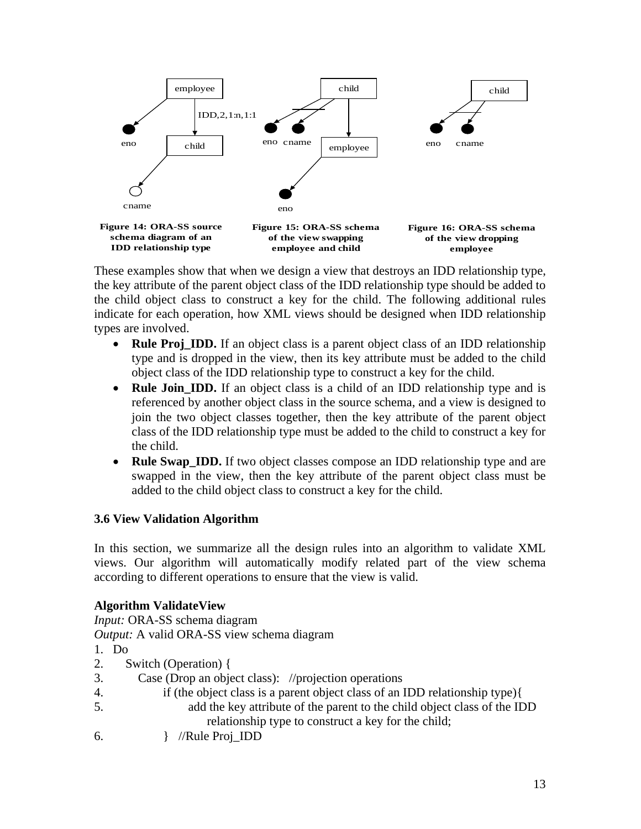

These examples show that when we design a view that destroys an IDD relationship type, the key attribute of the parent object class of the IDD relationship type should be added to the child object class to construct a key for the child. The following additional rules indicate for each operation, how XML views should be designed when IDD relationship types are involved.

- **Rule Proj\_IDD.** If an object class is a parent object class of an IDD relationship type and is dropped in the view, then its key attribute must be added to the child object class of the IDD relationship type to construct a key for the child.
- **Rule Join\_IDD.** If an object class is a child of an IDD relationship type and is referenced by another object class in the source schema, and a view is designed to join the two object classes together, then the key attribute of the parent object class of the IDD relationship type must be added to the child to construct a key for the child.
- **Rule Swap IDD.** If two object classes compose an IDD relationship type and are swapped in the view, then the key attribute of the parent object class must be added to the child object class to construct a key for the child.

# **3.6 View Validation Algorithm**

In this section, we summarize all the design rules into an algorithm to validate XML views. Our algorithm will automatically modify related part of the view schema according to different operations to ensure that the view is valid.

# **Algorithm ValidateView**

*Input:* ORA-SS schema diagram

*Output:* A valid ORA-SS view schema diagram

- 1. Do
- 2. Switch (Operation) {
- 3. Case (Drop an object class): //projection operations
- 4. if (the object class is a parent object class of an IDD relationship type){
- 5. add the key attribute of the parent to the child object class of the IDD relationship type to construct a key for the child;
- 6. } //Rule Proj\_IDD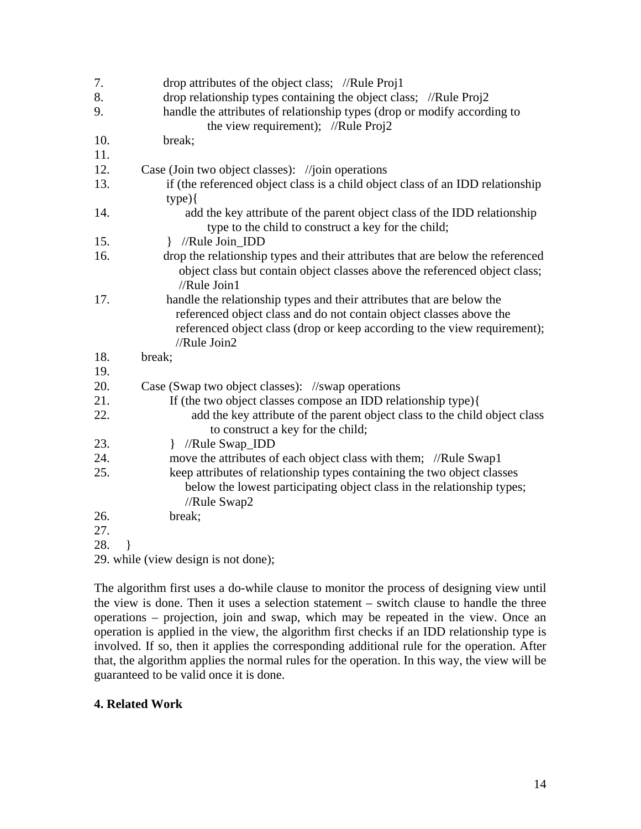| 7.  | drop attributes of the object class; //Rule Proj1                                                                                                                                                                                         |  |  |  |  |
|-----|-------------------------------------------------------------------------------------------------------------------------------------------------------------------------------------------------------------------------------------------|--|--|--|--|
| 8.  | drop relationship types containing the object class; //Rule Proj2                                                                                                                                                                         |  |  |  |  |
| 9.  | handle the attributes of relationship types (drop or modify according to<br>the view requirement); //Rule $Proj2$                                                                                                                         |  |  |  |  |
| 10. | break;                                                                                                                                                                                                                                    |  |  |  |  |
| 11. |                                                                                                                                                                                                                                           |  |  |  |  |
| 12. | Case (Join two object classes): //join operations                                                                                                                                                                                         |  |  |  |  |
| 13. | if (the referenced object class is a child object class of an IDD relationship                                                                                                                                                            |  |  |  |  |
|     | $type)$ {                                                                                                                                                                                                                                 |  |  |  |  |
| 14. | add the key attribute of the parent object class of the IDD relationship<br>type to the child to construct a key for the child;                                                                                                           |  |  |  |  |
| 15. | } //Rule Join_IDD                                                                                                                                                                                                                         |  |  |  |  |
| 16. | drop the relationship types and their attributes that are below the referenced<br>object class but contain object classes above the referenced object class;<br>//Rule Join1                                                              |  |  |  |  |
| 17. | handle the relationship types and their attributes that are below the<br>referenced object class and do not contain object classes above the<br>referenced object class (drop or keep according to the view requirement);<br>//Rule Join2 |  |  |  |  |
| 18. | break;                                                                                                                                                                                                                                    |  |  |  |  |
| 19. |                                                                                                                                                                                                                                           |  |  |  |  |
| 20. | Case (Swap two object classes): //swap operations                                                                                                                                                                                         |  |  |  |  |
| 21. | If (the two object classes compose an IDD relationship type){                                                                                                                                                                             |  |  |  |  |
| 22. | add the key attribute of the parent object class to the child object class<br>to construct a key for the child;                                                                                                                           |  |  |  |  |
| 23. | //Rule Swap_IDD<br>$\mathbf{r}$                                                                                                                                                                                                           |  |  |  |  |
| 24. | move the attributes of each object class with them; //Rule Swap1                                                                                                                                                                          |  |  |  |  |
| 25. | keep attributes of relationship types containing the two object classes<br>below the lowest participating object class in the relationship types;<br>//Rule Swap2                                                                         |  |  |  |  |
| 26. | break;                                                                                                                                                                                                                                    |  |  |  |  |
| 27. |                                                                                                                                                                                                                                           |  |  |  |  |
| 28. |                                                                                                                                                                                                                                           |  |  |  |  |
|     | 29. while (view design is not done);                                                                                                                                                                                                      |  |  |  |  |

The algorithm first uses a do-while clause to monitor the process of designing view until the view is done. Then it uses a selection statement – switch clause to handle the three operations – projection, join and swap, which may be repeated in the view. Once an operation is applied in the view, the algorithm first checks if an IDD relationship type is involved. If so, then it applies the corresponding additional rule for the operation. After that, the algorithm applies the normal rules for the operation. In this way, the view will be guaranteed to be valid once it is done.

# **4. Related Work**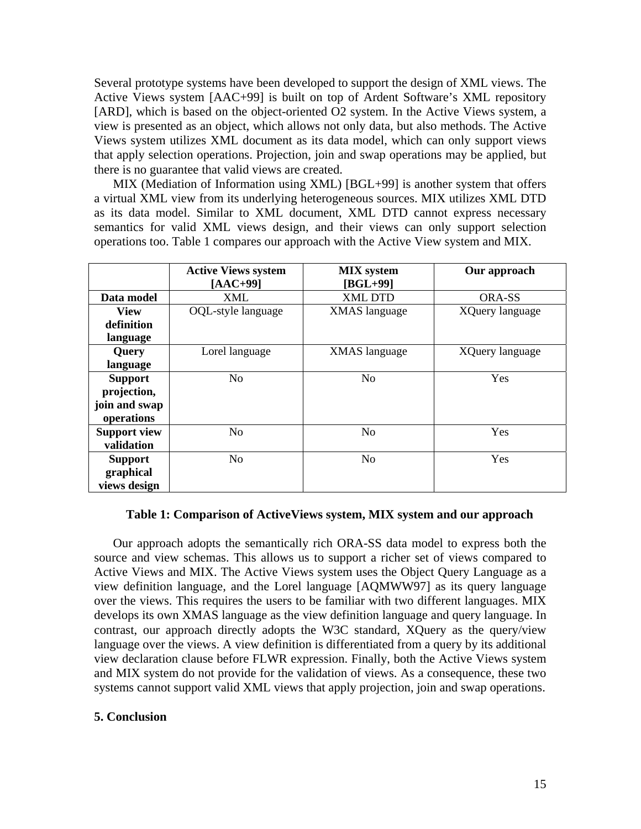Several prototype systems have been developed to support the design of XML views. The Active Views system [AAC+99] is built on top of Ardent Software's XML repository [ARD], which is based on the object-oriented O2 system. In the Active Views system, a view is presented as an object, which allows not only data, but also methods. The Active Views system utilizes XML document as its data model, which can only support views that apply selection operations. Projection, join and swap operations may be applied, but there is no guarantee that valid views are created.

MIX (Mediation of Information using XML) [BGL+99] is another system that offers a virtual XML view from its underlying heterogeneous sources. MIX utilizes XML DTD as its data model. Similar to XML document, XML DTD cannot express necessary semantics for valid XML views design, and their views can only support selection operations too. Table 1 compares our approach with the Active View system and MIX.

|                     | <b>Active Views system</b> | <b>MIX</b> system    | Our approach    |
|---------------------|----------------------------|----------------------|-----------------|
|                     | $[AAC+99]$                 | $[BGL+99]$           |                 |
| Data model          | XML                        | <b>XML DTD</b>       | ORA-SS          |
| <b>View</b>         | OQL-style language         | <b>XMAS</b> language | XQuery language |
| definition          |                            |                      |                 |
| language            |                            |                      |                 |
| Query               | Lorel language             | <b>XMAS</b> language | XQuery language |
| language            |                            |                      |                 |
| <b>Support</b>      | N <sub>o</sub>             | N <sub>o</sub>       | <b>Yes</b>      |
| projection,         |                            |                      |                 |
| join and swap       |                            |                      |                 |
| operations          |                            |                      |                 |
| <b>Support view</b> | N <sub>o</sub>             | N <sub>o</sub>       | Yes             |
| validation          |                            |                      |                 |
| <b>Support</b>      | No.                        | No                   | <b>Yes</b>      |
| graphical           |                            |                      |                 |
| views design        |                            |                      |                 |

#### **Table 1: Comparison of ActiveViews system, MIX system and our approach**

Our approach adopts the semantically rich ORA-SS data model to express both the source and view schemas. This allows us to support a richer set of views compared to Active Views and MIX. The Active Views system uses the Object Query Language as a view definition language, and the Lorel language [AQMWW97] as its query language over the views. This requires the users to be familiar with two different languages. MIX develops its own XMAS language as the view definition language and query language. In contrast, our approach directly adopts the W3C standard, XQuery as the query/view language over the views. A view definition is differentiated from a query by its additional view declaration clause before FLWR expression. Finally, both the Active Views system and MIX system do not provide for the validation of views. As a consequence, these two systems cannot support valid XML views that apply projection, join and swap operations.

#### **5. Conclusion**